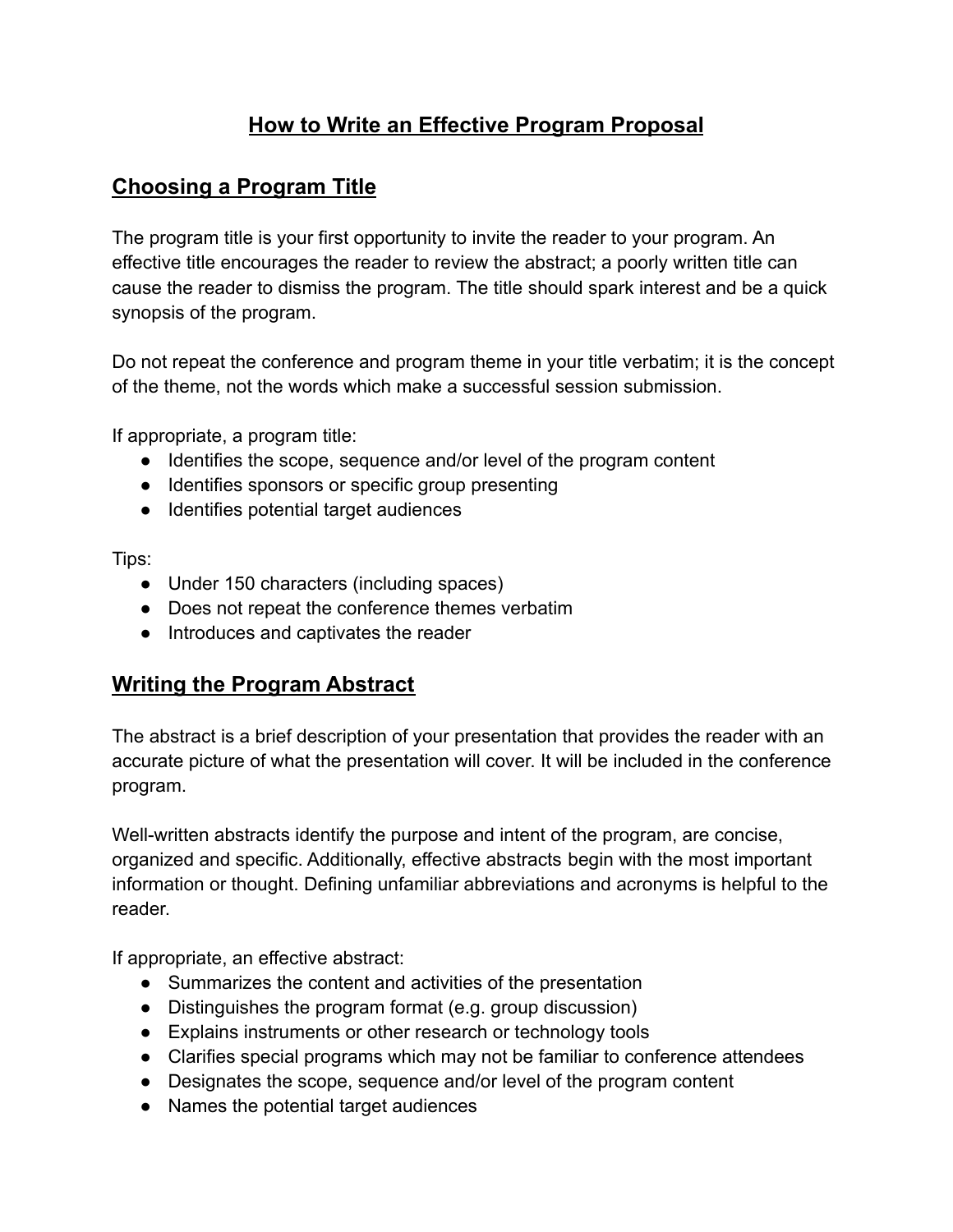# **How to Write an Effective Program Proposal**

## **Choosing a Program Title**

The program title is your first opportunity to invite the reader to your program. An effective title encourages the reader to review the abstract; a poorly written title can cause the reader to dismiss the program. The title should spark interest and be a quick synopsis of the program.

Do not repeat the conference and program theme in your title verbatim; it is the concept of the theme, not the words which make a successful session submission.

If appropriate, a program title:

- Identifies the scope, sequence and/or level of the program content
- Identifies sponsors or specific group presenting
- Identifies potential target audiences

Tips:

- Under 150 characters (including spaces)
- Does not repeat the conference themes verbatim
- Introduces and captivates the reader

### **Writing the Program Abstract**

The abstract is a brief description of your presentation that provides the reader with an accurate picture of what the presentation will cover. It will be included in the conference program.

Well-written abstracts identify the purpose and intent of the program, are concise, organized and specific. Additionally, effective abstracts begin with the most important information or thought. Defining unfamiliar abbreviations and acronyms is helpful to the reader.

If appropriate, an effective abstract:

- Summarizes the content and activities of the presentation
- Distinguishes the program format (e.g. group discussion)
- Explains instruments or other research or technology tools
- Clarifies special programs which may not be familiar to conference attendees
- Designates the scope, sequence and/or level of the program content
- Names the potential target audiences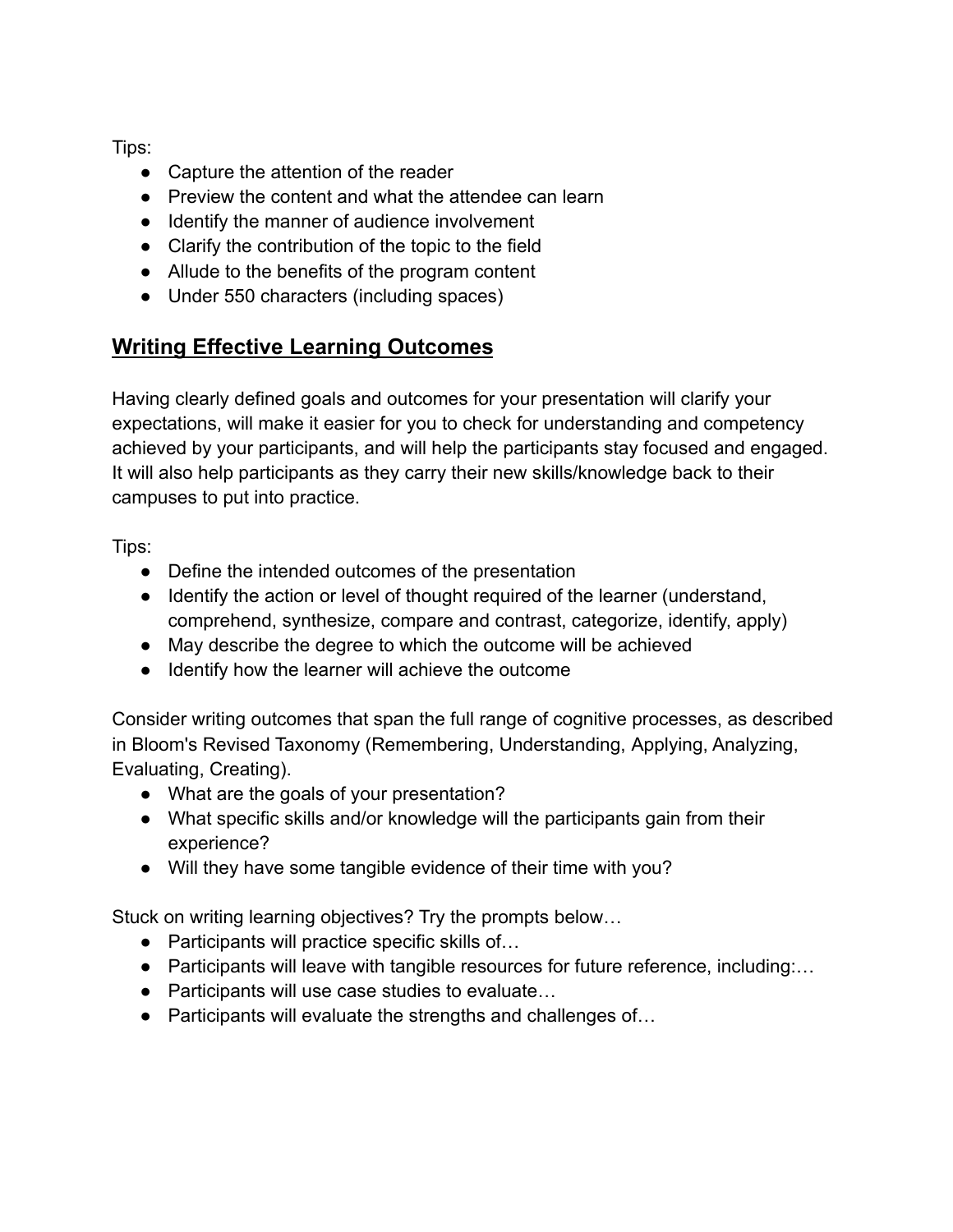Tips:

- Capture the attention of the reader
- Preview the content and what the attendee can learn
- Identify the manner of audience involvement
- Clarify the contribution of the topic to the field
- Allude to the benefits of the program content
- Under 550 characters (including spaces)

## **Writing Effective Learning Outcomes**

Having clearly defined goals and outcomes for your presentation will clarify your expectations, will make it easier for you to check for understanding and competency achieved by your participants, and will help the participants stay focused and engaged. It will also help participants as they carry their new skills/knowledge back to their campuses to put into practice.

Tips:

- Define the intended outcomes of the presentation
- Identify the action or level of thought required of the learner (understand, comprehend, synthesize, compare and contrast, categorize, identify, apply)
- May describe the degree to which the outcome will be achieved
- Identify how the learner will achieve the outcome

Consider writing outcomes that span the full range of cognitive processes, as described in Bloom's Revised Taxonomy (Remembering, Understanding, Applying, Analyzing, Evaluating, Creating).

- What are the goals of your presentation?
- What specific skills and/or knowledge will the participants gain from their experience?
- Will they have some tangible evidence of their time with you?

Stuck on writing learning objectives? Try the prompts below…

- Participants will practice specific skills of...
- Participants will leave with tangible resources for future reference, including:…
- Participants will use case studies to evaluate...
- Participants will evaluate the strengths and challenges of...